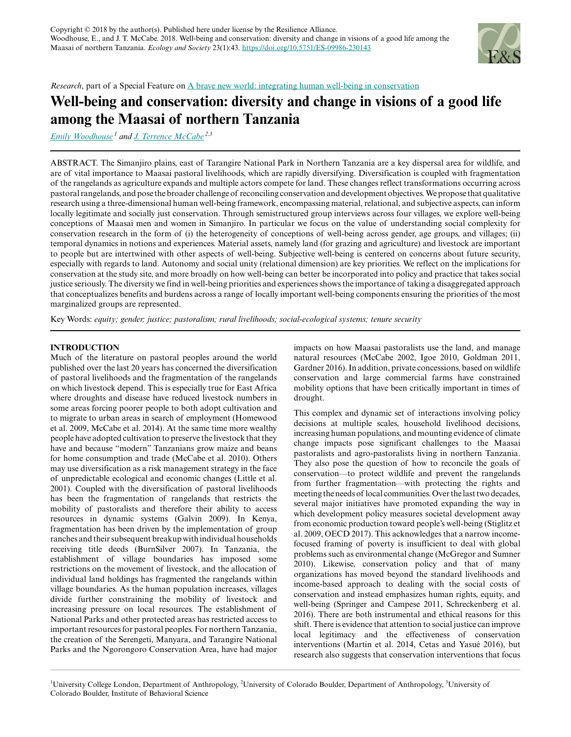

*Research*, part of a Special Feature on [A brave new world: integrating human well-being in conservation](https://www.ecologyandsociety.org/viewissue.php?sf=126)

# **Well-being and conservation: diversity and change in visions of a good life among the Maasai of northern Tanzania**

*[Emily Woodhouse](mailto:e.woodhouse@ucl.ac.uk)<sup>1</sup> and [J. Terrence McCabe](mailto:tmccabe@colorado.edu) 2,3*

ABSTRACT. The Simanjiro plains, east of Tarangire National Park in Northern Tanzania are a key dispersal area for wildlife, and are of vital importance to Maasai pastoral livelihoods, which are rapidly diversifying. Diversification is coupled with fragmentation of the rangelands as agriculture expands and multiple actors compete for land. These changes reflect transformations occurring across pastoral rangelands, and pose the broader challenge of reconciling conservation and development objectives. We propose that qualitative research using a three-dimensional human well-being framework, encompassing material, relational, and subjective aspects, can inform locally legitimate and socially just conservation. Through semistructured group interviews across four villages, we explore well-being conceptions of Maasai men and women in Simanjiro. In particular we focus on the value of understanding social complexity for conservation research in the form of (i) the heterogeneity of conceptions of well-being across gender, age groups, and villages; (ii) temporal dynamics in notions and experiences. Material assets, namely land (for grazing and agriculture) and livestock are important to people but are intertwined with other aspects of well-being. Subjective well-being is centered on concerns about future security, especially with regards to land. Autonomy and social unity (relational dimension) are key priorities. We reflect on the implications for conservation at the study site, and more broadly on how well-being can better be incorporated into policy and practice that takes social justice seriously. The diversity we find in well-being priorities and experiences shows the importance of taking a disaggregated approach that conceptualizes benefits and burdens across a range of locally important well-being components ensuring the priorities of the most marginalized groups are represented.

Key Words: *equity; gender; justice; pastoralism; rural livelihoods; social-ecological systems; tenure security*

# **INTRODUCTION**

Much of the literature on pastoral peoples around the world published over the last 20 years has concerned the diversification of pastoral livelihoods and the fragmentation of the rangelands on which livestock depend. This is especially true for East Africa where droughts and disease have reduced livestock numbers in some areas forcing poorer people to both adopt cultivation and to migrate to urban areas in search of employment (Homewood et al. 2009, McCabe et al. 2014). At the same time more wealthy people have adopted cultivation to preserve the livestock that they have and because "modern" Tanzanians grow maize and beans for home consumption and trade (McCabe et al. 2010). Others may use diversification as a risk management strategy in the face of unpredictable ecological and economic changes (Little et al. 2001). Coupled with the diversification of pastoral livelihoods has been the fragmentation of rangelands that restricts the mobility of pastoralists and therefore their ability to access resources in dynamic systems (Galvin 2009). In Kenya, fragmentation has been driven by the implementation of group ranches and their subsequent breakup with individual households receiving title deeds (BurnSilver 2007). In Tanzania, the establishment of village boundaries has imposed some restrictions on the movement of livestock, and the allocation of individual land holdings has fragmented the rangelands within village boundaries. As the human population increases, villages divide further constraining the mobility of livestock and increasing pressure on local resources. The establishment of National Parks and other protected areas has restricted access to important resources for pastoral peoples. For northern Tanzania, the creation of the Serengeti, Manyara, and Tarangire National Parks and the Ngorongoro Conservation Area, have had major

impacts on how Maasai pastoralists use the land, and manage natural resources (McCabe 2002, Igoe 2010, Goldman 2011, Gardner 2016). In addition, private concessions, based on wildlife conservation and large commercial farms have constrained mobility options that have been critically important in times of drought.

This complex and dynamic set of interactions involving policy decisions at multiple scales, household livelihood decisions, increasing human populations, and mounting evidence of climate change impacts pose significant challenges to the Maasai pastoralists and agro-pastoralists living in northern Tanzania. They also pose the question of how to reconcile the goals of conservation—to protect wildlife and prevent the rangelands from further fragmentation—with protecting the rights and meeting the needs of local communities. Over the last two decades, several major initiatives have promoted expanding the way in which development policy measures societal development away from economic production toward people's well-being (Stiglitz et al. 2009, OECD 2017). This acknowledges that a narrow incomefocused framing of poverty is insufficient to deal with global problems such as environmental change (McGregor and Sumner 2010). Likewise, conservation policy and that of many organizations has moved beyond the standard livelihoods and income-based approach to dealing with the social costs of conservation and instead emphasizes human rights, equity, and well-being (Springer and Campese 2011, Schreckenberg et al. 2016). There are both instrumental and ethical reasons for this shift. There is evidence that attention to social justice can improve local legitimacy and the effectiveness of conservation interventions (Martin et al. 2014, Cetas and Yasué 2016), but research also suggests that conservation interventions that focus

<sup>&</sup>lt;sup>1</sup>University College London, Department of Anthropology, <sup>2</sup>University of Colorado Boulder, Department of Anthropology, <sup>3</sup>University of Colorado Boulder, Institute of Behavioral Science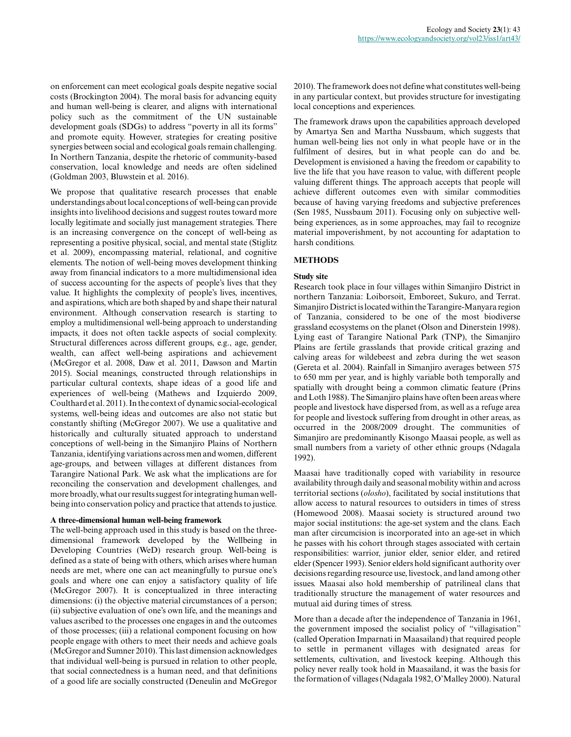on enforcement can meet ecological goals despite negative social costs (Brockington 2004). The moral basis for advancing equity and human well-being is clearer, and aligns with international policy such as the commitment of the UN sustainable development goals (SDGs) to address "poverty in all its forms" and promote equity. However, strategies for creating positive synergies between social and ecological goals remain challenging. In Northern Tanzania, despite the rhetoric of community-based conservation, local knowledge and needs are often sidelined (Goldman 2003, Bluwstein et al. 2016).

We propose that qualitative research processes that enable understandings about local conceptions of well-being can provide insights into livelihood decisions and suggest routes toward more locally legitimate and socially just management strategies. There is an increasing convergence on the concept of well-being as representing a positive physical, social, and mental state (Stiglitz et al. 2009), encompassing material, relational, and cognitive elements. The notion of well-being moves development thinking away from financial indicators to a more multidimensional idea of success accounting for the aspects of people's lives that they value. It highlights the complexity of people's lives, incentives, and aspirations, which are both shaped by and shape their natural environment. Although conservation research is starting to employ a multidimensional well-being approach to understanding impacts, it does not often tackle aspects of social complexity. Structural differences across different groups, e.g., age, gender, wealth, can affect well-being aspirations and achievement (McGregor et al. 2008, Daw et al. 2011, Dawson and Martin 2015). Social meanings, constructed through relationships in particular cultural contexts, shape ideas of a good life and experiences of well-being (Mathews and Izquierdo 2009, Coulthard et al. 2011). In the context of dynamic social-ecological systems, well-being ideas and outcomes are also not static but constantly shifting (McGregor 2007). We use a qualitative and historically and culturally situated approach to understand conceptions of well-being in the Simanjiro Plains of Northern Tanzania, identifying variations across men and women, different age-groups, and between villages at different distances from Tarangire National Park. We ask what the implications are for reconciling the conservation and development challenges, and more broadly, what our results suggest for integrating human wellbeing into conservation policy and practice that attends to justice.

## **A three-dimensional human well-being framework**

The well-being approach used in this study is based on the threedimensional framework developed by the Wellbeing in Developing Countries (WeD) research group. Well-being is defined as a state of being with others, which arises where human needs are met, where one can act meaningfully to pursue one's goals and where one can enjoy a satisfactory quality of life (McGregor 2007). It is conceptualized in three interacting dimensions: (i) the objective material circumstances of a person; (ii) subjective evaluation of one's own life, and the meanings and values ascribed to the processes one engages in and the outcomes of those processes; (iii) a relational component focusing on how people engage with others to meet their needs and achieve goals (McGregor and Sumner 2010). This last dimension acknowledges that individual well-being is pursued in relation to other people, that social connectedness is a human need, and that definitions of a good life are socially constructed (Deneulin and McGregor

2010). The framework does not define what constitutes well-being in any particular context, but provides structure for investigating local conceptions and experiences.

The framework draws upon the capabilities approach developed by Amartya Sen and Martha Nussbaum, which suggests that human well-being lies not only in what people have or in the fulfilment of desires, but in what people can do and be. Development is envisioned a having the freedom or capability to live the life that you have reason to value, with different people valuing different things. The approach accepts that people will achieve different outcomes even with similar commodities because of having varying freedoms and subjective preferences (Sen 1985, Nussbaum 2011). Focusing only on subjective wellbeing experiences, as in some approaches, may fail to recognize material impoverishment, by not accounting for adaptation to harsh conditions.

## **METHODS**

## **Study site**

Research took place in four villages within Simanjiro District in northern Tanzania: Loiborsoit, Emboreet, Sukuro, and Terrat. Simanjiro District is located within the Tarangire-Manyara region of Tanzania, considered to be one of the most biodiverse grassland ecosystems on the planet (Olson and Dinerstein 1998). Lying east of Tarangire National Park (TNP), the Simanjiro Plains are fertile grasslands that provide critical grazing and calving areas for wildebeest and zebra during the wet season (Gereta et al. 2004). Rainfall in Simanjiro averages between 575 to 650 mm per year, and is highly variable both temporally and spatially with drought being a common climatic feature (Prins and Loth 1988). The Simanjiro plains have often been areas where people and livestock have dispersed from, as well as a refuge area for people and livestock suffering from drought in other areas, as occurred in the 2008/2009 drought. The communities of Simanjiro are predominantly Kisongo Maasai people, as well as small numbers from a variety of other ethnic groups (Ndagala 1992).

Maasai have traditionally coped with variability in resource availability through daily and seasonal mobility within and across territorial sections (*olosho*), facilitated by social institutions that allow access to natural resources to outsiders in times of stress (Homewood 2008). Maasai society is structured around two major social institutions: the age-set system and the clans. Each man after circumcision is incorporated into an age-set in which he passes with his cohort through stages associated with certain responsibilities: warrior, junior elder, senior elder, and retired elder (Spencer 1993). Senior elders hold significant authority over decisions regarding resource use, livestock, and land among other issues. Maasai also hold membership of patrilineal clans that traditionally structure the management of water resources and mutual aid during times of stress.

More than a decade after the independence of Tanzania in 1961, the government imposed the socialist policy of "villagisation" (called Operation Imparnati in Maasailand) that required people to settle in permanent villages with designated areas for settlements, cultivation, and livestock keeping. Although this policy never really took hold in Maasailand, it was the basis for the formation of villages (Ndagala 1982, O'Malley 2000). Natural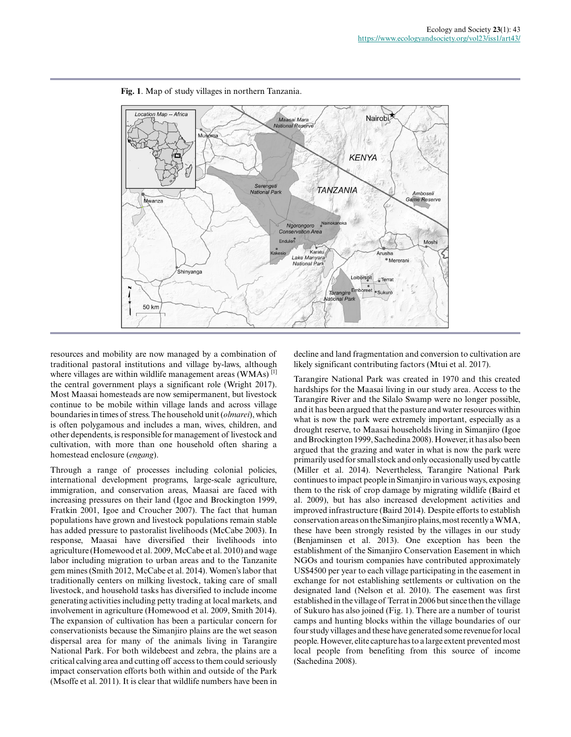

**Fig. 1**. Map of study villages in northern Tanzania.

resources and mobility are now managed by a combination of traditional pastoral institutions and village by-laws, although where villages are within wildlife management areas (WMAs)<sup>[1]</sup> the central government plays a significant role (Wright 2017). Most Maasai homesteads are now semipermanent, but livestock continue to be mobile within village lands and across village boundaries in times of stress. The household unit (*olmarei*), which is often polygamous and includes a man, wives, children, and other dependents, is responsible for management of livestock and cultivation, with more than one household often sharing a homestead enclosure (*engang*).

Through a range of processes including colonial policies, international development programs, large-scale agriculture, immigration, and conservation areas, Maasai are faced with increasing pressures on their land (Igoe and Brockington 1999, Fratkin 2001, Igoe and Croucher 2007). The fact that human populations have grown and livestock populations remain stable has added pressure to pastoralist livelihoods (McCabe 2003). In response, Maasai have diversified their livelihoods into agriculture (Homewood et al. 2009, McCabe et al. 2010) and wage labor including migration to urban areas and to the Tanzanite gem mines (Smith 2012, McCabe et al. 2014). Women's labor that traditionally centers on milking livestock, taking care of small livestock, and household tasks has diversified to include income generating activities including petty trading at local markets, and involvement in agriculture (Homewood et al. 2009, Smith 2014). The expansion of cultivation has been a particular concern for conservationists because the Simanjiro plains are the wet season dispersal area for many of the animals living in Tarangire National Park. For both wildebeest and zebra, the plains are a critical calving area and cutting off access to them could seriously impact conservation efforts both within and outside of the Park (Msoffe et al. 2011). It is clear that wildlife numbers have been in

decline and land fragmentation and conversion to cultivation are likely significant contributing factors (Mtui et al. 2017).

Tarangire National Park was created in 1970 and this created hardships for the Maasai living in our study area. Access to the Tarangire River and the Silalo Swamp were no longer possible, and it has been argued that the pasture and water resources within what is now the park were extremely important, especially as a drought reserve, to Maasai households living in Simanjiro (Igoe and Brockington 1999, Sachedina 2008). However, it has also been argued that the grazing and water in what is now the park were primarily used for small stock and only occasionally used by cattle (Miller et al. 2014). Nevertheless, Tarangire National Park continues to impact people in Simanjiro in various ways, exposing them to the risk of crop damage by migrating wildlife (Baird et al. 2009), but has also increased development activities and improved infrastructure (Baird 2014). Despite efforts to establish conservation areas on the Simanjiro plains, most recently a WMA, these have been strongly resisted by the villages in our study (Benjaminsen et al. 2013). One exception has been the establishment of the Simanjiro Conservation Easement in which NGOs and tourism companies have contributed approximately US\$4500 per year to each village participating in the easement in exchange for not establishing settlements or cultivation on the designated land (Nelson et al. 2010). The easement was first established in the village of Terrat in 2006 but since then the village of Sukuro has also joined (Fig. 1). There are a number of tourist camps and hunting blocks within the village boundaries of our four study villages and these have generated some revenue for local people. However, elite capture has to a large extent prevented most local people from benefiting from this source of income (Sachedina 2008).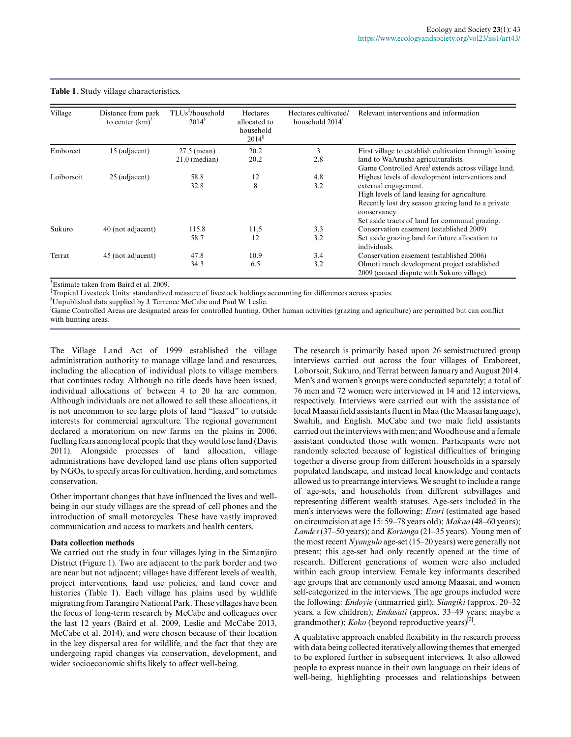| Village    | Distance from park<br>to center $(km)$ <sup>T</sup> | TLUs <sup>1</sup> /household<br>$2014^{\circ}$ | <b>Hectares</b><br>allocated to<br>household<br>$2014^{\$}$ | Hectares cultivated/<br>household $20148$ | Relevant interventions and information                             |
|------------|-----------------------------------------------------|------------------------------------------------|-------------------------------------------------------------|-------------------------------------------|--------------------------------------------------------------------|
| Emboreet   | 15 (adjacent)                                       | $27.5$ (mean)                                  | 20.2                                                        | 3                                         | First village to establish cultivation through leasing             |
|            |                                                     | $21.0$ (median)                                | 20.2                                                        | 2.8                                       | land to WaArusha agriculturalists.                                 |
|            |                                                     |                                                |                                                             |                                           | Game Controlled Area <sup>l</sup> extends across village land.     |
| Loiborsoit | 25 (adjacent)                                       | 58.8                                           | 12                                                          | 4.8                                       | Highest levels of development interventions and                    |
|            |                                                     | 32.8                                           | 8                                                           | 3.2                                       | external engagement.                                               |
|            |                                                     |                                                |                                                             |                                           | High levels of land leasing for agriculture.                       |
|            |                                                     |                                                |                                                             |                                           | Recently lost dry season grazing land to a private<br>conservancy. |
|            |                                                     |                                                |                                                             |                                           | Set aside tracts of land for communal grazing.                     |
| Sukuro     | 40 (not adjacent)                                   | 115.8                                          | 11.5                                                        | 3.3                                       | Conservation easement (established 2009)                           |
|            |                                                     | 58.7                                           | 12                                                          | 3.2                                       | Set aside grazing land for future allocation to                    |
|            |                                                     |                                                |                                                             |                                           | individuals.                                                       |
| Terrat     | 45 (not adjacent)                                   | 47.8                                           | 10.9                                                        | 3.4                                       | Conservation easement (established 2006)                           |
|            |                                                     | 34.3                                           | 6.5                                                         | 3.2                                       | Olmoti ranch development project established                       |
|            |                                                     |                                                |                                                             |                                           | 2009 (caused dispute with Sukuro village).                         |

# **Table 1**. Study village characteristics.

† Estimate taken from Baird et al. 2009.

‡ Tropical Livestock Units: standardized measure of livestock holdings accounting for differences across species.

§Unpublished data supplied by J. Terrence McCabe and Paul W. Leslie.

<sup>|</sup>Game Controlled Areas are designated areas for controlled hunting. Other human activities (grazing and agriculture) are permitted but can conflict with hunting areas.

The Village Land Act of 1999 established the village administration authority to manage village land and resources, including the allocation of individual plots to village members that continues today. Although no title deeds have been issued, individual allocations of between 4 to 20 ha are common. Although individuals are not allowed to sell these allocations, it is not uncommon to see large plots of land "leased" to outside interests for commercial agriculture. The regional government declared a moratorium on new farms on the plains in 2006, fuelling fears among local people that they would lose land (Davis 2011). Alongside processes of land allocation, village administrations have developed land use plans often supported by NGOs, to specify areas for cultivation, herding, and sometimes conservation.

Other important changes that have influenced the lives and wellbeing in our study villages are the spread of cell phones and the introduction of small motorcycles. These have vastly improved communication and access to markets and health centers.

## **Data collection methods**

We carried out the study in four villages lying in the Simanjiro District (Figure 1). Two are adjacent to the park border and two are near but not adjacent; villages have different levels of wealth, project interventions, land use policies, and land cover and histories (Table 1). Each village has plains used by wildlife migrating from Tarangire National Park. These villages have been the focus of long-term research by McCabe and colleagues over the last 12 years (Baird et al. 2009, Leslie and McCabe 2013, McCabe et al. 2014), and were chosen because of their location in the key dispersal area for wildlife, and the fact that they are undergoing rapid changes via conservation, development, and wider socioeconomic shifts likely to affect well-being.

The research is primarily based upon 26 semistructured group interviews carried out across the four villages of Emboreet, Loborsoit, Sukuro, and Terrat between January and August 2014. Men's and women's groups were conducted separately; a total of 76 men and 72 women were interviewed in 14 and 12 interviews, respectively. Interviews were carried out with the assistance of local Maasai field assistants fluent in Maa (the Maasai language), Swahili, and English. McCabe and two male field assistants carried out the interviews with men; and Woodhouse and a female assistant conducted those with women. Participants were not randomly selected because of logistical difficulties of bringing together a diverse group from different households in a sparsely populated landscape, and instead local knowledge and contacts allowed us to prearrange interviews. We sought to include a range of age-sets, and households from different subvillages and representing different wealth statuses. Age-sets included in the men's interviews were the following: *Esuri* (estimated age based on circumcision at age 15: 59–78 years old); *Makaa* (48–60 years); *Landes* (37–50 years); and *Korianga* (21–35 years). Young men of the most recent *Nyangulo* age-set (15–20 years) were generally not present; this age-set had only recently opened at the time of research. Different generations of women were also included within each group interview. Female key informants described age groups that are commonly used among Maasai, and women self-categorized in the interviews. The age groups included were the following: *Endoyie* (unmarried girl); *Siangiki* (approx. 20–32 years, a few children); *Endasati* (approx. 33–49 years; maybe a grandmother); *Koko* (beyond reproductive years)<sup>[2]</sup>.

A qualitative approach enabled flexibility in the research process with data being collected iteratively allowing themes that emerged to be explored further in subsequent interviews. It also allowed people to express nuance in their own language on their ideas of well-being, highlighting processes and relationships between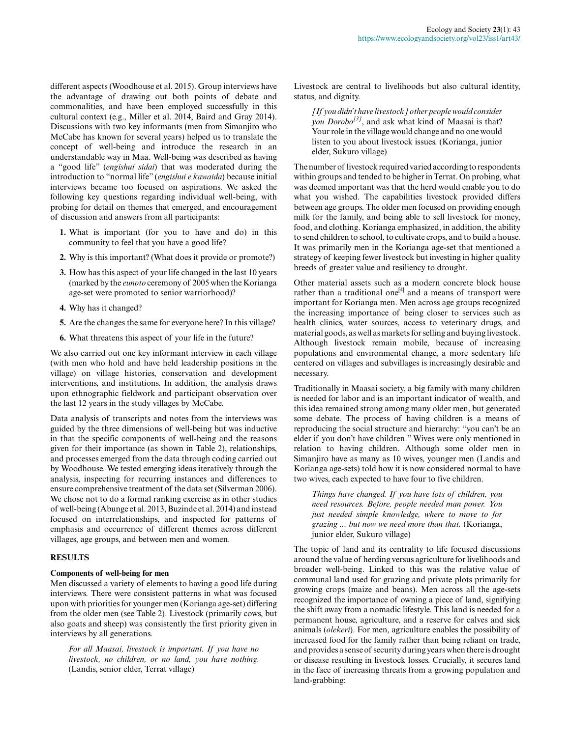different aspects (Woodhouse et al. 2015). Group interviews have the advantage of drawing out both points of debate and commonalities, and have been employed successfully in this cultural context (e.g., Miller et al. 2014, Baird and Gray 2014). Discussions with two key informants (men from Simanjiro who McCabe has known for several years) helped us to translate the concept of well-being and introduce the research in an understandable way in Maa. Well-being was described as having a "good life" (*engishui sidai*) that was moderated during the introduction to "normal life" (*engishui e kawaida*) because initial interviews became too focused on aspirations. We asked the following key questions regarding individual well-being, with probing for detail on themes that emerged, and encouragement of discussion and answers from all participants:

- **1.** What is important (for you to have and do) in this community to feel that you have a good life?
- **2.** Why is this important? (What does it provide or promote?)
- **3.** How has this aspect of your life changed in the last 10 years (marked by the *eunoto* ceremony of 2005 when the Korianga age-set were promoted to senior warriorhood)?
- **4.** Why has it changed?
- **5.** Are the changes the same for everyone here? In this village?
- **6.** What threatens this aspect of your life in the future?

We also carried out one key informant interview in each village (with men who hold and have held leadership positions in the village) on village histories, conservation and development interventions, and institutions. In addition, the analysis draws upon ethnographic fieldwork and participant observation over the last 12 years in the study villages by McCabe.

Data analysis of transcripts and notes from the interviews was guided by the three dimensions of well-being but was inductive in that the specific components of well-being and the reasons given for their importance (as shown in Table 2), relationships, and processes emerged from the data through coding carried out by Woodhouse. We tested emerging ideas iteratively through the analysis, inspecting for recurring instances and differences to ensure comprehensive treatment of the data set (Silverman 2006). We chose not to do a formal ranking exercise as in other studies of well-being (Abunge et al. 2013, Buzinde et al. 2014) and instead focused on interrelationships, and inspected for patterns of emphasis and occurrence of different themes across different villages, age groups, and between men and women.

#### **RESULTS**

# **Components of well-being for men**

Men discussed a variety of elements to having a good life during interviews. There were consistent patterns in what was focused upon with priorities for younger men (Korianga age-set) differing from the older men (see Table 2). Livestock (primarily cows, but also goats and sheep) was consistently the first priority given in interviews by all generations.

*For all Maasai, livestock is important. If you have no livestock, no children, or no land, you have nothing.* (Landis, senior elder, Terrat village)

Livestock are central to livelihoods but also cultural identity, status, and dignity.

*[If you didn't have livestock] other people would consider you Dorobo[3]*, and ask what kind of Maasai is that? Your role in the village would change and no one would listen to you about livestock issues. (Korianga, junior elder, Sukuro village)

The number of livestock required varied according to respondents within groups and tended to be higher in Terrat. On probing, what was deemed important was that the herd would enable you to do what you wished. The capabilities livestock provided differs between age groups. The older men focused on providing enough milk for the family, and being able to sell livestock for money, food, and clothing. Korianga emphasized, in addition, the ability to send children to school, to cultivate crops, and to build a house. It was primarily men in the Korianga age-set that mentioned a strategy of keeping fewer livestock but investing in higher quality breeds of greater value and resiliency to drought.

Other material assets such as a modern concrete block house rather than a traditional one<sup>[4]</sup> and a means of transport were important for Korianga men. Men across age groups recognized the increasing importance of being closer to services such as health clinics, water sources, access to veterinary drugs, and material goods, as well as markets for selling and buying livestock. Although livestock remain mobile, because of increasing populations and environmental change, a more sedentary life centered on villages and subvillages is increasingly desirable and necessary.

Traditionally in Maasai society, a big family with many children is needed for labor and is an important indicator of wealth, and this idea remained strong among many older men, but generated some debate. The process of having children is a means of reproducing the social structure and hierarchy: "you can't be an elder if you don't have children." Wives were only mentioned in relation to having children. Although some older men in Simanjiro have as many as 10 wives, younger men (Landis and Korianga age-sets) told how it is now considered normal to have two wives, each expected to have four to five children.

*Things have changed. If you have lots of children, you need resources. Before, people needed man power. You just needed simple knowledge, where to move to for grazing ... but now we need more than that.* (Korianga, junior elder, Sukuro village)

The topic of land and its centrality to life focused discussions around the value of herding versus agriculture for livelihoods and broader well-being. Linked to this was the relative value of communal land used for grazing and private plots primarily for growing crops (maize and beans). Men across all the age-sets recognized the importance of owning a piece of land, signifying the shift away from a nomadic lifestyle. This land is needed for a permanent house, agriculture, and a reserve for calves and sick animals (*olekeri*). For men, agriculture enables the possibility of increased food for the family rather than being reliant on trade, and provides a sense of security during years when there is drought or disease resulting in livestock losses. Crucially, it secures land in the face of increasing threats from a growing population and land-grabbing: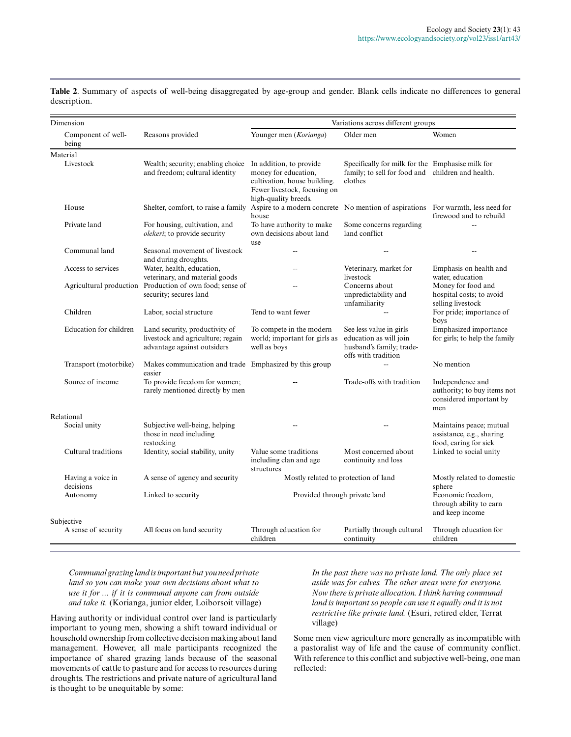**Table 2**. Summary of aspects of well-being disaggregated by age-group and gender. Blank cells indicate no differences to general description.

| Dimension                         |                                                                                                    | Variations across different groups                                                                                                      |                                                                                                                  |                                                                                   |  |
|-----------------------------------|----------------------------------------------------------------------------------------------------|-----------------------------------------------------------------------------------------------------------------------------------------|------------------------------------------------------------------------------------------------------------------|-----------------------------------------------------------------------------------|--|
| Component of well-<br>being       | Reasons provided                                                                                   | Younger men (Korianga)                                                                                                                  | Older men                                                                                                        | Women                                                                             |  |
| Material                          |                                                                                                    |                                                                                                                                         |                                                                                                                  |                                                                                   |  |
| Livestock                         | Wealth; security; enabling choice<br>and freedom; cultural identity                                | In addition, to provide<br>money for education,<br>cultivation, house building.<br>Fewer livestock, focusing on<br>high-quality breeds. | Specifically for milk for the Emphasise milk for<br>family; to sell for food and children and health.<br>clothes |                                                                                   |  |
| House                             | Shelter, comfort, to raise a family                                                                | Aspire to a modern concrete No mention of aspirations For warmth, less need for<br>house                                                |                                                                                                                  | firewood and to rebuild                                                           |  |
| Private land                      | For housing, cultivation, and<br>olekeri; to provide security                                      | To have authority to make<br>own decisions about land<br>use                                                                            | Some concerns regarding<br>land conflict                                                                         |                                                                                   |  |
| Communal land                     | Seasonal movement of livestock<br>and during droughts.                                             |                                                                                                                                         |                                                                                                                  |                                                                                   |  |
| Access to services                | Water, health, education,<br>veterinary, and material goods                                        | --                                                                                                                                      | Veterinary, market for<br>livestock                                                                              | Emphasis on health and<br>water, education                                        |  |
| Agricultural production           | Production of own food; sense of<br>security; secures land                                         |                                                                                                                                         | Concerns about<br>unpredictability and<br>unfamiliarity                                                          | Money for food and<br>hospital costs; to avoid<br>selling livestock               |  |
| Children                          | Labor, social structure                                                                            | Tend to want fewer                                                                                                                      |                                                                                                                  | For pride; importance of<br>boys                                                  |  |
| Education for children            | Land security, productivity of<br>livestock and agriculture; regain<br>advantage against outsiders | To compete in the modern<br>world; important for girls as<br>well as boys                                                               | See less value in girls<br>education as will join<br>husband's family; trade-<br>offs with tradition             | Emphasized importance<br>for girls; to help the family                            |  |
| Transport (motorbike)             | Makes communication and trade Emphasized by this group<br>easier                                   |                                                                                                                                         |                                                                                                                  | No mention                                                                        |  |
| Source of income                  | To provide freedom for women;<br>rarely mentioned directly by men                                  |                                                                                                                                         | Trade-offs with tradition                                                                                        | Independence and<br>authority; to buy items not<br>considered important by<br>men |  |
| Relational                        |                                                                                                    |                                                                                                                                         |                                                                                                                  |                                                                                   |  |
| Social unity                      | Subjective well-being, helping<br>those in need including<br>restocking                            |                                                                                                                                         |                                                                                                                  | Maintains peace; mutual<br>assistance, e.g., sharing<br>food, caring for sick     |  |
| Cultural traditions               | Identity, social stability, unity                                                                  | Value some traditions<br>including clan and age<br>structures                                                                           | Most concerned about<br>continuity and loss                                                                      | Linked to social unity                                                            |  |
| Having a voice in<br>decisions    | A sense of agency and security                                                                     |                                                                                                                                         | Mostly related to protection of land                                                                             |                                                                                   |  |
| Autonomy                          | Linked to security                                                                                 | Provided through private land                                                                                                           |                                                                                                                  | sphere<br>Economic freedom,<br>through ability to earn<br>and keep income         |  |
| Subjective<br>A sense of security | All focus on land security                                                                         | Through education for<br>children                                                                                                       | Partially through cultural<br>continuity                                                                         | Through education for<br>children                                                 |  |

*Communal grazing land is important but you need private land so you can make your own decisions about what to use it for ... if it is communal anyone can from outside and take it.* (Korianga, junior elder, Loiborsoit village)

Having authority or individual control over land is particularly important to young men, showing a shift toward individual or household ownership from collective decision making about land management. However, all male participants recognized the importance of shared grazing lands because of the seasonal movements of cattle to pasture and for access to resources during droughts. The restrictions and private nature of agricultural land is thought to be unequitable by some:

*In the past there was no private land. The only place set aside was for calves. The other areas were for everyone. Now there is private allocation. I think having communal land is important so people can use it equally and it is not restrictive like private land.* (Esuri, retired elder, Terrat village)

Some men view agriculture more generally as incompatible with a pastoralist way of life and the cause of community conflict. With reference to this conflict and subjective well-being, one man reflected: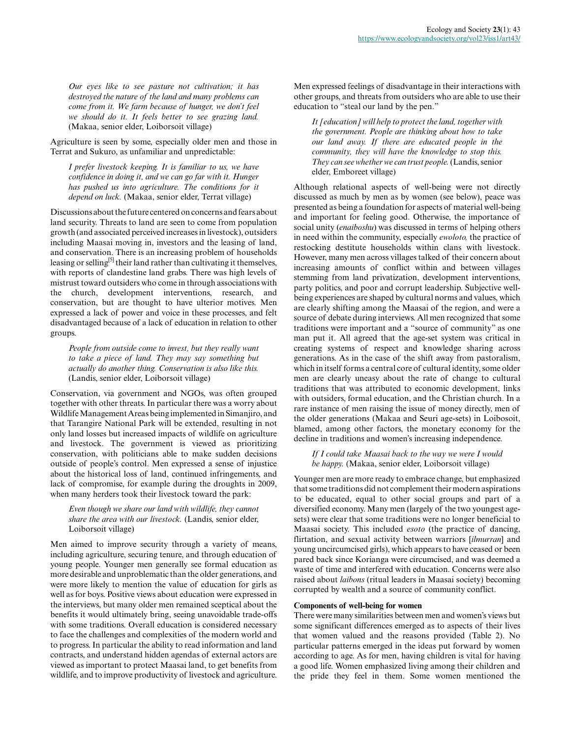*Our eyes like to see pasture not cultivation; it has destroyed the nature of the land and many problems can come from it. We farm because of hunger, we don't feel we should do it. It feels better to see grazing land.* (Makaa, senior elder, Loiborsoit village)

Agriculture is seen by some, especially older men and those in Terrat and Sukuro, as unfamiliar and unpredictable:

*I prefer livestock keeping. It is familiar to us, we have confidence in doing it, and we can go far with it. Hunger has pushed us into agriculture. The conditions for it depend on luck.* (Makaa, senior elder, Terrat village)

Discussions about the future centered on concerns and fears about land security. Threats to land are seen to come from population growth (and associated perceived increases in livestock), outsiders including Maasai moving in, investors and the leasing of land, and conservation. There is an increasing problem of households leasing or selling[5] their land rather than cultivating it themselves, with reports of clandestine land grabs. There was high levels of mistrust toward outsiders who come in through associations with the church, development interventions, research, and conservation, but are thought to have ulterior motives. Men expressed a lack of power and voice in these processes, and felt disadvantaged because of a lack of education in relation to other groups.

*People from outside come to invest, but they really want to take a piece of land. They may say something but actually do another thing. Conservation is also like this.* (Landis, senior elder, Loiborsoit village)

Conservation, via government and NGOs, was often grouped together with other threats. In particular there was a worry about Wildlife Management Areas being implemented in Simanjiro, and that Tarangire National Park will be extended, resulting in not only land losses but increased impacts of wildlife on agriculture and livestock. The government is viewed as prioritizing conservation, with politicians able to make sudden decisions outside of people's control. Men expressed a sense of injustice about the historical loss of land, continued infringements, and lack of compromise, for example during the droughts in 2009, when many herders took their livestock toward the park:

# *Even though we share our land with wildlife, they cannot share the area with our livestock.* (Landis, senior elder, Loiborsoit village)

Men aimed to improve security through a variety of means, including agriculture, securing tenure, and through education of young people. Younger men generally see formal education as more desirable and unproblematic than the older generations, and were more likely to mention the value of education for girls as well as for boys. Positive views about education were expressed in the interviews, but many older men remained sceptical about the benefits it would ultimately bring, seeing unavoidable trade-offs with some traditions. Overall education is considered necessary to face the challenges and complexities of the modern world and to progress. In particular the ability to read information and land contracts, and understand hidden agendas of external actors are viewed as important to protect Maasai land, to get benefits from wildlife, and to improve productivity of livestock and agriculture. Men expressed feelings of disadvantage in their interactions with other groups, and threats from outsiders who are able to use their education to "steal our land by the pen."

*It [education] will help to protect the land, together with the government. People are thinking about how to take our land away. If there are educated people in the community, they will have the knowledge to stop this. They can see whether we can trust people.* (Landis, senior elder, Emboreet village)

Although relational aspects of well-being were not directly discussed as much by men as by women (see below), peace was presented as being a foundation for aspects of material well-being and important for feeling good. Otherwise, the importance of social unity (*enaiboshu*) was discussed in terms of helping others in need within the community, especially *ewoloto,* the practice of restocking destitute households within clans with livestock. However, many men across villages talked of their concern about increasing amounts of conflict within and between villages stemming from land privatization, development interventions, party politics, and poor and corrupt leadership. Subjective wellbeing experiences are shaped by cultural norms and values, which are clearly shifting among the Maasai of the region, and were a source of debate during interviews. All men recognized that some traditions were important and a "source of community" as one man put it. All agreed that the age-set system was critical in creating systems of respect and knowledge sharing across generations. As in the case of the shift away from pastoralism, which in itself forms a central core of cultural identity, some older men are clearly uneasy about the rate of change to cultural traditions that was attributed to economic development, links with outsiders, formal education, and the Christian church. In a rare instance of men raising the issue of money directly, men of the older generations (Makaa and Seuri age-sets) in Loibosoit, blamed, among other factors, the monetary economy for the decline in traditions and women's increasing independence.

*If I could take Maasai back to the way we were I would be happy.* (Makaa, senior elder, Loiborsoit village)

Younger men are more ready to embrace change, but emphasized that some traditions did not complement their modern aspirations to be educated, equal to other social groups and part of a diversified economy. Many men (largely of the two youngest agesets) were clear that some traditions were no longer beneficial to Maasai society. This included *esoto* (the practice of dancing, flirtation, and sexual activity between warriors [*ilmurran*] and young uncircumcised girls), which appears to have ceased or been pared back since Korianga were circumcised, and was deemed a waste of time and interfered with education. Concerns were also raised about *laibons* (ritual leaders in Maasai society) becoming corrupted by wealth and a source of community conflict.

# **Components of well-being for women**

There were many similarities between men and women's views but some significant differences emerged as to aspects of their lives that women valued and the reasons provided (Table 2). No particular patterns emerged in the ideas put forward by women according to age. As for men, having children is vital for having a good life. Women emphasized living among their children and the pride they feel in them. Some women mentioned the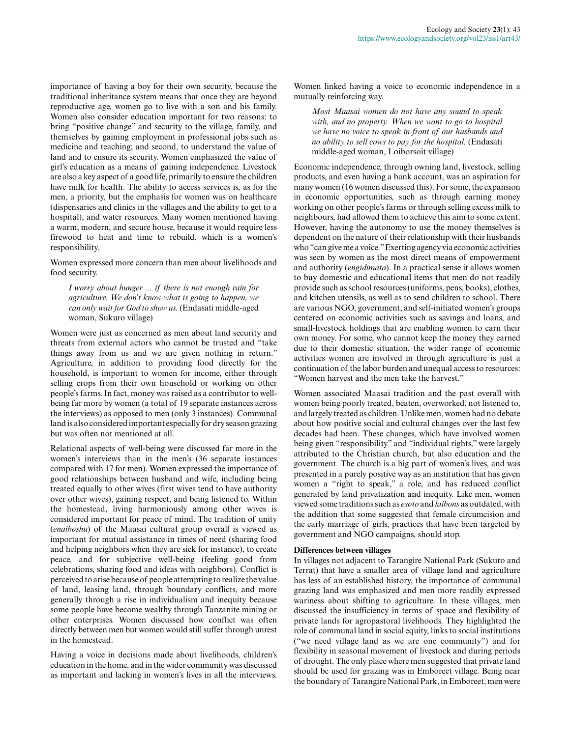importance of having a boy for their own security, because the traditional inheritance system means that once they are beyond reproductive age, women go to live with a son and his family. Women also consider education important for two reasons: to bring "positive change" and security to the village, family, and themselves by gaining employment in professional jobs such as medicine and teaching; and second, to understand the value of land and to ensure its security. Women emphasized the value of girl's education as a means of gaining independence. Livestock are also a key aspect of a good life, primarily to ensure the children have milk for health. The ability to access services is, as for the men, a priority, but the emphasis for women was on healthcare (dispensaries and clinics in the villages and the ability to get to a hospital), and water resources. Many women mentioned having a warm, modern, and secure house, because it would require less firewood to heat and time to rebuild, which is a women's responsibility.

Women expressed more concern than men about livelihoods and food security.

*I worry about hunger ... if there is not enough rain for agriculture. We don't know what is going to happen, we can only wait for God to show us.* (Endasati middle-aged woman, Sukuro village)

Women were just as concerned as men about land security and threats from external actors who cannot be trusted and "take things away from us and we are given nothing in return." Agriculture, in addition to providing food directly for the household, is important to women for income, either through selling crops from their own household or working on other people's farms. In fact, money was raised as a contributor to wellbeing far more by women (a total of 19 separate instances across the interviews) as opposed to men (only 3 instances). Communal land is also considered important especially for dry season grazing but was often not mentioned at all.

Relational aspects of well-being were discussed far more in the women's interviews than in the men's (36 separate instances compared with 17 for men). Women expressed the importance of good relationships between husband and wife, including being treated equally to other wives (first wives tend to have authority over other wives), gaining respect, and being listened to. Within the homestead, living harmoniously among other wives is considered important for peace of mind. The tradition of unity (*enaiboshu*) of the Maasai cultural group overall is viewed as important for mutual assistance in times of need (sharing food and helping neighbors when they are sick for instance), to create peace, and for subjective well-being (feeling good from celebrations, sharing food and ideas with neighbors). Conflict is perceived to arise because of people attempting to realize the value of land, leasing land, through boundary conflicts, and more generally through a rise in individualism and inequity because some people have become wealthy through Tanzanite mining or other enterprises. Women discussed how conflict was often directly between men but women would still suffer through unrest in the homestead.

Having a voice in decisions made about livelihoods, children's education in the home, and in the wider community was discussed as important and lacking in women's lives in all the interviews.

Women linked having a voice to economic independence in a mutually reinforcing way.

*Most Maasai women do not have any sound to speak with, and no property. When we want to go to hospital we have no voice to speak in front of our husbands and no ability to sell cows to pay for the hospital.* (Endasati middle-aged woman, Loiborsoit village)

Economic independence, through owning land, livestock, selling products, and even having a bank account, was an aspiration for many women (16 women discussed this). For some, the expansion in economic opportunities, such as through earning money working on other people's farms or through selling excess milk to neighbours, had allowed them to achieve this aim to some extent. However, having the autonomy to use the money themselves is dependent on the nature of their relationship with their husbands who "can give me a voice." Exerting agency via economic activities was seen by women as the most direct means of empowerment and authority (*engidimata*). In a practical sense it allows women to buy domestic and educational items that men do not readily provide such as school resources (uniforms, pens, books), clothes, and kitchen utensils, as well as to send children to school. There are various NGO, government, and self-initiated women's groups centered on economic activities such as savings and loans, and small-livestock holdings that are enabling women to earn their own money. For some, who cannot keep the money they earned due to their domestic situation, the wider range of economic activities women are involved in through agriculture is just a continuation of the labor burden and unequal access to resources: "Women harvest and the men take the harvest."

Women associated Maasai tradition and the past overall with women being poorly treated, beaten, overworked, not listened to, and largely treated as children. Unlike men, women had no debate about how positive social and cultural changes over the last few decades had been. These changes, which have involved women being given "responsibility" and "individual rights," were largely attributed to the Christian church, but also education and the government. The church is a big part of women's lives, and was presented in a purely positive way as an institution that has given women a "right to speak," a role, and has reduced conflict generated by land privatization and inequity. Like men, women viewed some traditions such as *esoto* and *laibons* as outdated, with the addition that some suggested that female circumcision and the early marriage of girls, practices that have been targeted by government and NGO campaigns, should stop.

## **Differences between villages**

In villages not adjacent to Tarangire National Park (Sukuro and Terrat) that have a smaller area of village land and agriculture has less of an established history, the importance of communal grazing land was emphasized and men more readily expressed wariness about shifting to agriculture. In these villages, men discussed the insufficiency in terms of space and flexibility of private lands for agropastoral livelihoods. They highlighted the role of communal land in social equity, links to social institutions ("we need village land as we are one community") and for flexibility in seasonal movement of livestock and during periods of drought. The only place where men suggested that private land should be used for grazing was in Emboreet village. Being near the boundary of Tarangire National Park, in Emboreet, men were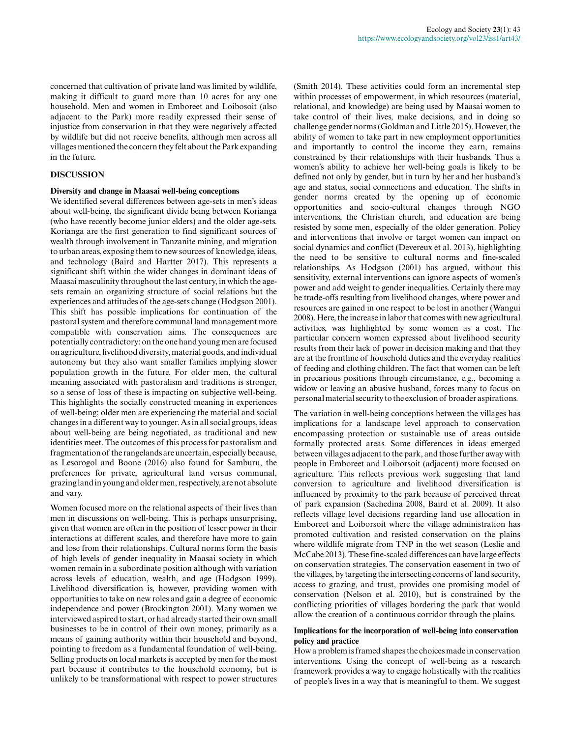concerned that cultivation of private land was limited by wildlife, making it difficult to guard more than 10 acres for any one household. Men and women in Emboreet and Loibosoit (also adjacent to the Park) more readily expressed their sense of injustice from conservation in that they were negatively affected by wildlife but did not receive benefits, although men across all villages mentioned the concern they felt about the Park expanding in the future.

# **DISCUSSION**

## **Diversity and change in Maasai well-being conceptions**

We identified several differences between age-sets in men's ideas about well-being, the significant divide being between Korianga (who have recently become junior elders) and the older age-sets. Korianga are the first generation to find significant sources of wealth through involvement in Tanzanite mining, and migration to urban areas, exposing them to new sources of knowledge, ideas, and technology (Baird and Hartter 2017). This represents a significant shift within the wider changes in dominant ideas of Maasai masculinity throughout the last century, in which the agesets remain an organizing structure of social relations but the experiences and attitudes of the age-sets change (Hodgson 2001). This shift has possible implications for continuation of the pastoral system and therefore communal land management more compatible with conservation aims. The consequences are potentially contradictory: on the one hand young men are focused on agriculture, livelihood diversity, material goods, and individual autonomy but they also want smaller families implying slower population growth in the future. For older men, the cultural meaning associated with pastoralism and traditions is stronger, so a sense of loss of these is impacting on subjective well-being. This highlights the socially constructed meaning in experiences of well-being; older men are experiencing the material and social changes in a different way to younger. As in all social groups, ideas about well-being are being negotiated, as traditional and new identities meet. The outcomes of this process for pastoralism and fragmentation of the rangelands are uncertain, especially because, as Lesorogol and Boone (2016) also found for Samburu, the preferences for private, agricultural land versus communal, grazing land in young and older men, respectively, are not absolute and vary.

Women focused more on the relational aspects of their lives than men in discussions on well-being. This is perhaps unsurprising, given that women are often in the position of lesser power in their interactions at different scales, and therefore have more to gain and lose from their relationships. Cultural norms form the basis of high levels of gender inequality in Maasai society in which women remain in a subordinate position although with variation across levels of education, wealth, and age (Hodgson 1999). Livelihood diversification is, however, providing women with opportunities to take on new roles and gain a degree of economic independence and power (Brockington 2001). Many women we interviewed aspired to start, or had already started their own small businesses to be in control of their own money, primarily as a means of gaining authority within their household and beyond, pointing to freedom as a fundamental foundation of well-being. Selling products on local markets is accepted by men for the most part because it contributes to the household economy, but is unlikely to be transformational with respect to power structures

(Smith 2014). These activities could form an incremental step within processes of empowerment, in which resources (material, relational, and knowledge) are being used by Maasai women to take control of their lives, make decisions, and in doing so challenge gender norms (Goldman and Little 2015). However, the ability of women to take part in new employment opportunities and importantly to control the income they earn, remains constrained by their relationships with their husbands. Thus a women's ability to achieve her well-being goals is likely to be defined not only by gender, but in turn by her and her husband's age and status, social connections and education. The shifts in gender norms created by the opening up of economic opportunities and socio-cultural changes through NGO interventions, the Christian church, and education are being resisted by some men, especially of the older generation. Policy and interventions that involve or target women can impact on social dynamics and conflict (Devereux et al. 2013), highlighting the need to be sensitive to cultural norms and fine-scaled relationships. As Hodgson (2001) has argued, without this sensitivity, external interventions can ignore aspects of women's power and add weight to gender inequalities. Certainly there may be trade-offs resulting from livelihood changes, where power and resources are gained in one respect to be lost in another (Wangui 2008). Here, the increase in labor that comes with new agricultural activities, was highlighted by some women as a cost. The particular concern women expressed about livelihood security results from their lack of power in decision making and that they are at the frontline of household duties and the everyday realities of feeding and clothing children. The fact that women can be left in precarious positions through circumstance, e.g., becoming a widow or leaving an abusive husband, forces many to focus on personal material security to the exclusion of broader aspirations.

The variation in well-being conceptions between the villages has implications for a landscape level approach to conservation encompassing protection or sustainable use of areas outside formally protected areas. Some differences in ideas emerged between villages adjacent to the park, and those further away with people in Emboreet and Loiborsoit (adjacent) more focused on agriculture. This reflects previous work suggesting that land conversion to agriculture and livelihood diversification is influenced by proximity to the park because of perceived threat of park expansion (Sachedina 2008, Baird et al. 2009). It also reflects village level decisions regarding land use allocation in Emboreet and Loiborsoit where the village administration has promoted cultivation and resisted conservation on the plains where wildlife migrate from TNP in the wet season (Leslie and McCabe 2013). These fine-scaled differences can have large effects on conservation strategies. The conservation easement in two of the villages, by targeting the intersecting concerns of land security, access to grazing, and trust, provides one promising model of conservation (Nelson et al. 2010), but is constrained by the conflicting priorities of villages bordering the park that would allow the creation of a continuous corridor through the plains.

# **Implications for the incorporation of well-being into conservation policy and practice**

How a problem is framed shapes the choices made in conservation interventions. Using the concept of well-being as a research framework provides a way to engage holistically with the realities of people's lives in a way that is meaningful to them. We suggest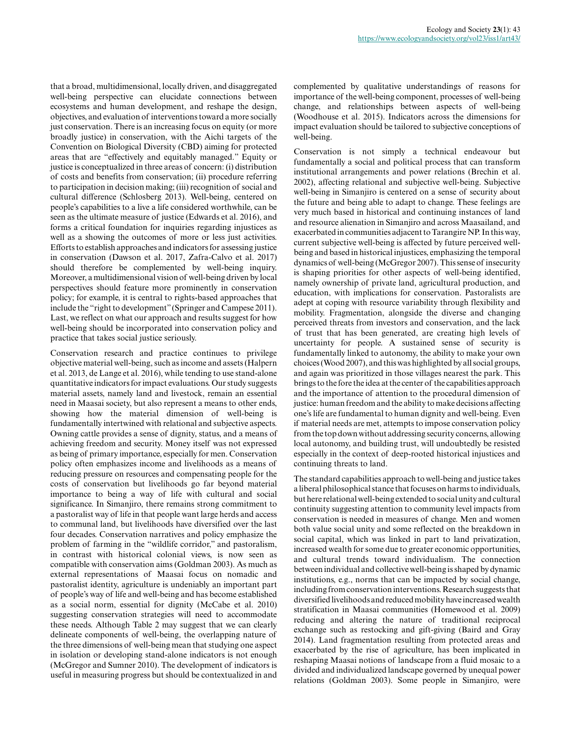that a broad, multidimensional, locally driven, and disaggregated well-being perspective can elucidate connections between ecosystems and human development, and reshape the design, objectives, and evaluation of interventions toward a more socially just conservation. There is an increasing focus on equity (or more broadly justice) in conservation, with the Aichi targets of the Convention on Biological Diversity (CBD) aiming for protected areas that are "effectively and equitably managed." Equity or justice is conceptualized in three areas of concern: (i) distribution of costs and benefits from conservation; (ii) procedure referring to participation in decision making; (iii) recognition of social and cultural difference (Schlosberg 2013). Well-being, centered on people's capabilities to a live a life considered worthwhile, can be seen as the ultimate measure of justice (Edwards et al. 2016), and forms a critical foundation for inquiries regarding injustices as well as a showing the outcomes of more or less just activities. Efforts to establish approaches and indicators for assessing justice in conservation (Dawson et al. 2017, Zafra-Calvo et al. 2017) should therefore be complemented by well-being inquiry. Moreover, a multidimensional vision of well-being driven by local perspectives should feature more prominently in conservation policy; for example, it is central to rights-based approaches that include the "right to development" (Springer and Campese 2011). Last, we reflect on what our approach and results suggest for how well-being should be incorporated into conservation policy and practice that takes social justice seriously.

Conservation research and practice continues to privilege objective material well-being, such as income and assets (Halpern et al. 2013, de Lange et al. 2016), while tending to use stand-alone quantitative indicators for impact evaluations. Our study suggests material assets, namely land and livestock, remain an essential need in Maasai society, but also represent a means to other ends, showing how the material dimension of well-being is fundamentally intertwined with relational and subjective aspects. Owning cattle provides a sense of dignity, status, and a means of achieving freedom and security. Money itself was not expressed as being of primary importance, especially for men. Conservation policy often emphasizes income and livelihoods as a means of reducing pressure on resources and compensating people for the costs of conservation but livelihoods go far beyond material importance to being a way of life with cultural and social significance. In Simanjiro, there remains strong commitment to a pastoralist way of life in that people want large herds and access to communal land, but livelihoods have diversified over the last four decades. Conservation narratives and policy emphasize the problem of farming in the "wildlife corridor," and pastoralism, in contrast with historical colonial views, is now seen as compatible with conservation aims (Goldman 2003). As much as external representations of Maasai focus on nomadic and pastoralist identity, agriculture is undeniably an important part of people's way of life and well-being and has become established as a social norm, essential for dignity (McCabe et al. 2010) suggesting conservation strategies will need to accommodate these needs. Although Table 2 may suggest that we can clearly delineate components of well-being, the overlapping nature of the three dimensions of well-being mean that studying one aspect in isolation or developing stand-alone indicators is not enough (McGregor and Sumner 2010). The development of indicators is useful in measuring progress but should be contextualized in and

complemented by qualitative understandings of reasons for importance of the well-being component, processes of well-being change, and relationships between aspects of well-being (Woodhouse et al. 2015). Indicators across the dimensions for impact evaluation should be tailored to subjective conceptions of well-being.

Conservation is not simply a technical endeavour but fundamentally a social and political process that can transform institutional arrangements and power relations (Brechin et al. 2002), affecting relational and subjective well-being. Subjective well-being in Simanjiro is centered on a sense of security about the future and being able to adapt to change. These feelings are very much based in historical and continuing instances of land and resource alienation in Simanjiro and across Maasailand, and exacerbated in communities adjacent to Tarangire NP. In this way, current subjective well-being is affected by future perceived wellbeing and based in historical injustices, emphasizing the temporal dynamics of well-being (McGregor 2007). This sense of insecurity is shaping priorities for other aspects of well-being identified, namely ownership of private land, agricultural production, and education, with implications for conservation. Pastoralists are adept at coping with resource variability through flexibility and mobility. Fragmentation, alongside the diverse and changing perceived threats from investors and conservation, and the lack of trust that has been generated, are creating high levels of uncertainty for people. A sustained sense of security is fundamentally linked to autonomy, the ability to make your own choices (Wood 2007), and this was highlighted by all social groups, and again was prioritized in those villages nearest the park. This brings to the fore the idea at the center of the capabilities approach and the importance of attention to the procedural dimension of justice: human freedom and the ability to make decisions affecting one's life are fundamental to human dignity and well-being. Even if material needs are met, attempts to impose conservation policy from the top down without addressing security concerns, allowing local autonomy, and building trust, will undoubtedly be resisted especially in the context of deep-rooted historical injustices and continuing threats to land.

The standard capabilities approach to well-being and justice takes a liberal philosophical stance that focuses on harms to individuals, but here relational well-being extended to social unity and cultural continuity suggesting attention to community level impacts from conservation is needed in measures of change. Men and women both value social unity and some reflected on the breakdown in social capital, which was linked in part to land privatization, increased wealth for some due to greater economic opportunities, and cultural trends toward individualism. The connection between individual and collective well-being is shaped by dynamic institutions, e.g., norms that can be impacted by social change, including from conservation interventions. Research suggests that diversified livelihoods and reduced mobility have increased wealth stratification in Maasai communities (Homewood et al. 2009) reducing and altering the nature of traditional reciprocal exchange such as restocking and gift-giving (Baird and Gray 2014). Land fragmentation resulting from protected areas and exacerbated by the rise of agriculture, has been implicated in reshaping Maasai notions of landscape from a fluid mosaic to a divided and individualized landscape governed by unequal power relations (Goldman 2003). Some people in Simanjiro, were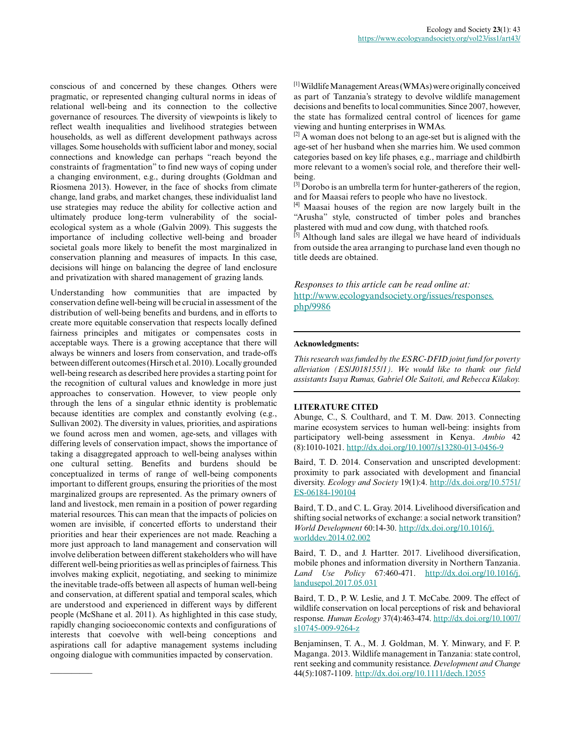conscious of and concerned by these changes. Others were pragmatic, or represented changing cultural norms in ideas of relational well-being and its connection to the collective governance of resources. The diversity of viewpoints is likely to reflect wealth inequalities and livelihood strategies between households, as well as different development pathways across villages. Some households with sufficient labor and money, social connections and knowledge can perhaps "reach beyond the constraints of fragmentation" to find new ways of coping under a changing environment, e.g., during droughts (Goldman and Riosmena 2013). However, in the face of shocks from climate change, land grabs, and market changes, these individualist land use strategies may reduce the ability for collective action and ultimately produce long-term vulnerability of the socialecological system as a whole (Galvin 2009). This suggests the importance of including collective well-being and broader societal goals more likely to benefit the most marginalized in conservation planning and measures of impacts. In this case, decisions will hinge on balancing the degree of land enclosure and privatization with shared management of grazing lands.

Understanding how communities that are impacted by conservation define well-being will be crucial in assessment of the distribution of well-being benefits and burdens, and in efforts to create more equitable conservation that respects locally defined fairness principles and mitigates or compensates costs in acceptable ways. There is a growing acceptance that there will always be winners and losers from conservation, and trade-offs between different outcomes (Hirsch et al. 2010). Locally grounded well-being research as described here provides a starting point for the recognition of cultural values and knowledge in more just approaches to conservation. However, to view people only through the lens of a singular ethnic identity is problematic because identities are complex and constantly evolving (e.g., Sullivan 2002). The diversity in values, priorities, and aspirations we found across men and women, age-sets, and villages with differing levels of conservation impact, shows the importance of taking a disaggregated approach to well-being analyses within one cultural setting. Benefits and burdens should be conceptualized in terms of range of well-being components important to different groups, ensuring the priorities of the most marginalized groups are represented. As the primary owners of land and livestock, men remain in a position of power regarding material resources. This can mean that the impacts of policies on women are invisible, if concerted efforts to understand their priorities and hear their experiences are not made. Reaching a more just approach to land management and conservation will involve deliberation between different stakeholders who will have different well-being priorities as well as principles of fairness. This involves making explicit, negotiating, and seeking to minimize the inevitable trade-offs between all aspects of human well-being and conservation, at different spatial and temporal scales, which are understood and experienced in different ways by different people (McShane et al. 2011). As highlighted in this case study, rapidly changing socioeconomic contexts and configurations of interests that coevolve with well-being conceptions and aspirations call for adaptive management systems including ongoing dialogue with communities impacted by conservation.

 $\overline{\phantom{a}}$ 

[1] Wildlife Management Areas (WMAs) were originally conceived as part of Tanzania's strategy to devolve wildlife management decisions and benefits to local communities. Since 2007, however, the state has formalized central control of licences for game viewing and hunting enterprises in WMAs.

<sup>[2]</sup> A woman does not belong to an age-set but is aligned with the age-set of her husband when she marries him. We used common categories based on key life phases, e.g., marriage and childbirth more relevant to a women's social role, and therefore their wellbeing.

<sup>[3]</sup> Dorobo is an umbrella term for hunter-gatherers of the region, and for Maasai refers to people who have no livestock.

[4] Maasai houses of the region are now largely built in the "Arusha" style, constructed of timber poles and branches plastered with mud and cow dung, with thatched roofs.

[5] Although land sales are illegal we have heard of individuals from outside the area arranging to purchase land even though no title deeds are obtained.

*Responses to this article can be read online at:* [http://www.ecologyandsociety.org/issues/responses.](http://www.ecologyandsociety.org/issues/responses.php/9986) [php/9986](http://www.ecologyandsociety.org/issues/responses.php/9986)

## **Acknowledgments:**

*This research was funded by the ESRC-DFID joint fund for poverty alleviation (ES/J018155/1). We would like to thank our field assistants Isaya Rumas, Gabriel Ole Saitoti, and Rebecca Kilakoy.*

## **LITERATURE CITED**

Abunge, C., S. Coulthard, and T. M. Daw. 2013. Connecting marine ecosystem services to human well-being: insights from participatory well-being assessment in Kenya. *Ambio* 42 (8):1010-1021. [http://dx.doi.org/10.1007/s13280-013-0456-9](http://dx.doi.org/10.1007%2Fs13280-013-0456-9) 

Baird, T. D. 2014. Conservation and unscripted development: proximity to park associated with development and financial diversity. *Ecology and Society* 19(1):4. [http://dx.doi.org/10.5751/](http://dx.doi.org/10.5751%2FES-06184-190104) [ES-06184-190104](http://dx.doi.org/10.5751%2FES-06184-190104)

Baird, T. D., and C. L. Gray. 2014. Livelihood diversification and shifting social networks of exchange: a social network transition? *World Development* 60:14-30. [http://dx.doi.org/10.1016/j.](http://dx.doi.org/10.1016%2Fj.worlddev.2014.02.002) [worlddev.2014.02.002](http://dx.doi.org/10.1016%2Fj.worlddev.2014.02.002)

Baird, T. D., and J. Hartter. 2017. Livelihood diversification, mobile phones and information diversity in Northern Tanzania. *Land Use Policy* 67:460-471. [http://dx.doi.org/10.1016/j.](http://dx.doi.org/10.1016%2Fj.landusepol.2017.05.031) [landusepol.2017.05.031](http://dx.doi.org/10.1016%2Fj.landusepol.2017.05.031)

Baird, T. D., P. W. Leslie, and J. T. McCabe. 2009. The effect of wildlife conservation on local perceptions of risk and behavioral response. *Human Ecology* 37(4):463-474. [http://dx.doi.org/10.1007/](http://dx.doi.org/10.1007%2Fs10745-009-9264-z) [s10745-009-9264-z](http://dx.doi.org/10.1007%2Fs10745-009-9264-z)

Benjaminsen, T. A., M. J. Goldman, M. Y. Minwary, and F. P. Maganga. 2013. Wildlife management in Tanzania: state control, rent seeking and community resistance. *Development and Change* 44(5):1087-1109. [http://dx.doi.org/10.1111/dech.12055](http://dx.doi.org/10.1111%2Fdech.12055)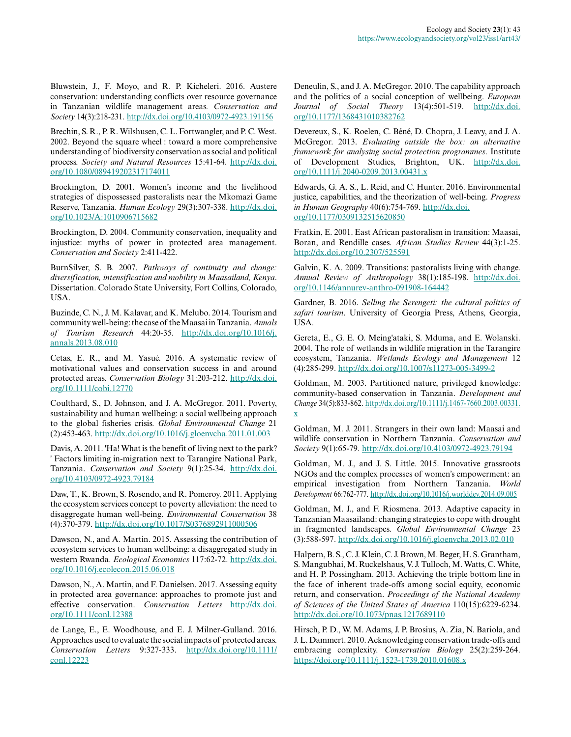Bluwstein, J., F. Moyo, and R. P. Kicheleri. 2016. Austere conservation: understanding conflicts over resource governance in Tanzanian wildlife management areas. *Conservation and Society* 14(3):218-231. [http://dx.doi.org/10.4103/0972-4923.191156](http://dx.doi.org/10.4103%2F0972-4923.191156) 

Brechin, S. R., P. R. Wilshusen, C. L. Fortwangler, and P. C. West. 2002. Beyond the square wheel : toward a more comprehensive understanding of biodiversity conservation as social and political process. *Society and Natural Resources* 15:41-64. [http://dx.doi.](http://dx.doi.org/10.1080%2F089419202317174011) [org/10.1080/089419202317174011](http://dx.doi.org/10.1080%2F089419202317174011)

Brockington, D. 2001. Women's income and the livelihood strategies of dispossessed pastoralists near the Mkomazi Game Reserve, Tanzania. *Human Ecology* 29(3):307-338. [http://dx.doi.](http://dx.doi.org/10.1023%2FA%3A1010906715682) [org/10.1023/A:1010906715682](http://dx.doi.org/10.1023%2FA%3A1010906715682)

Brockington, D. 2004. Community conservation, inequality and injustice: myths of power in protected area management. *Conservation and Society* 2:411-422.

BurnSilver, S. B. 2007. *Pathways of continuity and change: diversification, intensification and mobility in Maasailand, Kenya*. Dissertation. Colorado State University, Fort Collins, Colorado, USA.

Buzinde, C. N., J. M. Kalavar, and K. Melubo. 2014. Tourism and community well-being: the case of the Maasai in Tanzania. *Annals of Tourism Research* 44:20-35. [http://dx.doi.org/10.1016/j.](http://dx.doi.org/10.1016%2Fj.annals.2013.08.010) [annals.2013.08.010](http://dx.doi.org/10.1016%2Fj.annals.2013.08.010)

Cetas, E. R., and M. Yasué. 2016. A systematic review of motivational values and conservation success in and around protected areas. *Conservation Biology* 31:203-212. [http://dx.doi.](http://dx.doi.org/10.1111%2Fcobi.12770) [org/10.1111/cobi.12770](http://dx.doi.org/10.1111%2Fcobi.12770)

Coulthard, S., D. Johnson, and J. A. McGregor. 2011. Poverty, sustainability and human wellbeing: a social wellbeing approach to the global fisheries crisis. *Global Environmental Change* 21 (2):453-463. [http://dx.doi.org/10.1016/j.gloenvcha.2011.01.003](http://dx.doi.org/10.1016%2Fj.gloenvcha.2011.01.003) 

Davis, A. 2011. 'Ha! What is the benefit of living next to the park? ' Factors limiting in-migration next to Tarangire National Park, Tanzania. *Conservation and Society* 9(1):25-34. [http://dx.doi.](http://dx.doi.org/10.4103%2F0972-4923.79184) [org/10.4103/0972-4923.79184](http://dx.doi.org/10.4103%2F0972-4923.79184)

Daw, T., K. Brown, S. Rosendo, and R. Pomeroy. 2011. Applying the ecosystem services concept to poverty alleviation: the need to disaggregate human well-being. *Environmental Conservation* 38 (4):370-379. [http://dx.doi.org/10.1017/S0376892911000506](http://dx.doi.org/10.1017%2FS0376892911000506) 

Dawson, N., and A. Martin. 2015. Assessing the contribution of ecosystem services to human wellbeing: a disaggregated study in western Rwanda. *Ecological Economics* 117:62-72. [http://dx.doi.](http://dx.doi.org/10.1016%2Fj.ecolecon.2015.06.018) [org/10.1016/j.ecolecon.2015.06.018](http://dx.doi.org/10.1016%2Fj.ecolecon.2015.06.018) 

Dawson, N., A. Martin, and F. Danielsen. 2017. Assessing equity in protected area governance: approaches to promote just and effective conservation. *Conservation Letters* [http://dx.doi.](http://dx.doi.org/10.1111%2Fconl.12388) [org/10.1111/conl.12388](http://dx.doi.org/10.1111%2Fconl.12388)

de Lange, E., E. Woodhouse, and E. J. Milner-Gulland. 2016. Approaches used to evaluate the social impacts of protected areas. *Conservation Letters* 9:327-333. [http://dx.doi.org/10.1111/](http://dx.doi.org/10.1111%2Fconl.12223) [conl.12223](http://dx.doi.org/10.1111%2Fconl.12223)

Deneulin, S., and J. A. McGregor. 2010. The capability approach and the politics of a social conception of wellbeing. *European Journal of Social Theory* 13(4):501-519. [http://dx.doi.](http://dx.doi.org/10.1177%2F1368431010382762) [org/10.1177/1368431010382762](http://dx.doi.org/10.1177%2F1368431010382762)

Devereux, S., K. Roelen, C. Béné, D. Chopra, J. Leavy, and J. A. McGregor. 2013. *Evaluating outside the box: an alternative framework for analysing social protection programmes*. Institute of Development Studies, Brighton, UK. [http://dx.doi.](http://dx.doi.org/10.1111%2Fj.2040-0209.2013.00431.x) [org/10.1111/j.2040-0209.2013.00431.x](http://dx.doi.org/10.1111%2Fj.2040-0209.2013.00431.x)

Edwards, G. A. S., L. Reid, and C. Hunter. 2016. Environmental justice, capabilities, and the theorization of well-being. *Progress in Human Geography* 40(6):754-769. [http://dx.doi.](http://dx.doi.org/10.1177%2F0309132515620850) [org/10.1177/0309132515620850](http://dx.doi.org/10.1177%2F0309132515620850)

Fratkin, E. 2001. East African pastoralism in transition: Maasai, Boran, and Rendille cases. *African Studies Review* 44(3):1-25. [http://dx.doi.org/10.2307/525591](http://dx.doi.org/10.2307%2F525591)

Galvin, K. A. 2009. Transitions: pastoralists living with change. *Annual Review of Anthropology* 38(1):185-198. [http://dx.doi.](http://dx.doi.org/10.1146%2Fannurev-anthro-091908-164442) [org/10.1146/annurev-anthro-091908-164442](http://dx.doi.org/10.1146%2Fannurev-anthro-091908-164442)

Gardner, B. 2016. *Selling the Serengeti: the cultural politics of safari tourism*. University of Georgia Press, Athens, Georgia, USA.

Gereta, E., G. E. O. Meing'ataki, S. Mduma, and E. Wolanski. 2004. The role of wetlands in wildlife migration in the Tarangire ecosystem, Tanzania. *Wetlands Ecology and Management* 12 (4):285-299. [http://dx.doi.org/10.1007/s11273-005-3499-2](http://dx.doi.org/10.1007%2Fs11273-005-3499-2) 

Goldman, M. 2003. Partitioned nature, privileged knowledge: community-based conservation in Tanzania. *Development and Change* 34(5):833-862. [http://dx.doi.org/10.1111/j.1467-7660.2003.00331.](http://dx.doi.org/10.1111%2Fj.1467-7660.2003.00331.x) [x](http://dx.doi.org/10.1111%2Fj.1467-7660.2003.00331.x) 

Goldman, M. J. 2011. Strangers in their own land: Maasai and wildlife conservation in Northern Tanzania. *Conservation and Society* 9(1):65-79. [http://dx.doi.org/10.4103/0972-4923.79194](http://dx.doi.org/10.4103%2F0972-4923.79194)

Goldman, M. J., and J. S. Little. 2015. Innovative grassroots NGOs and the complex processes of women's empowerment: an empirical investigation from Northern Tanzania. *World Development* 66:762-777. [http://dx.doi.org/10.1016/j.worlddev.2014.09.005](http://dx.doi.org/10.1016%2Fj.worlddev.2014.09.005)

Goldman, M. J., and F. Riosmena. 2013. Adaptive capacity in Tanzanian Maasailand: changing strategies to cope with drought in fragmented landscapes. *Global Environmental Change* 23 (3):588-597. [http://dx.doi.org/10.1016/j.gloenvcha.2013.02.010](http://dx.doi.org/10.1016%2Fj.gloenvcha.2013.02.010) 

Halpern, B. S., C. J. Klein, C. J. Brown, M. Beger, H. S. Grantham, S. Mangubhai, M. Ruckelshaus, V. J. Tulloch, M. Watts, C. White, and H. P. Possingham. 2013. Achieving the triple bottom line in the face of inherent trade-offs among social equity, economic return, and conservation. *Proceedings of the National Academy of Sciences of the United States of America* 110(15):6229-6234. [http://dx.doi.org/10.1073/pnas.1217689110](http://dx.doi.org/10.1073%2Fpnas.1217689110)

Hirsch, P. D., W. M. Adams, J. P. Brosius, A. Zia, N. Bariola, and J. L. Dammert. 2010. Acknowledging conservation trade-offs and embracing complexity. *Conservation Biology* 25(2):259-264. <https://doi.org/10.1111/j.1523-1739.2010.01608.x>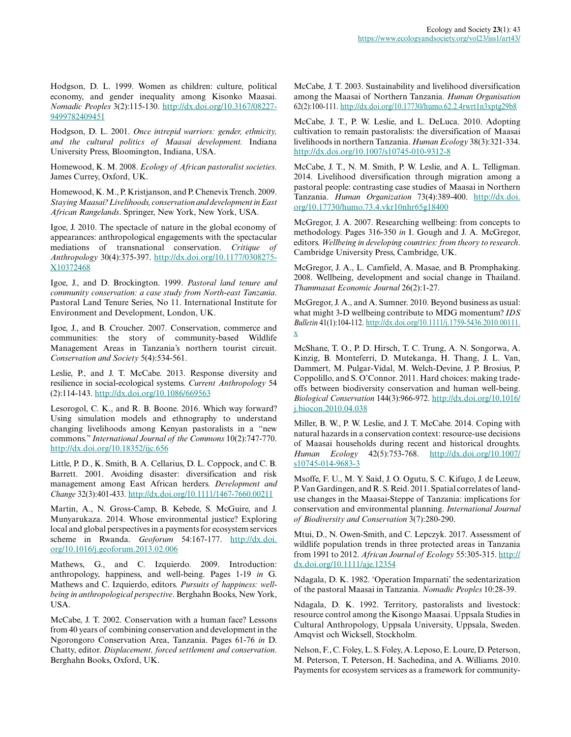Hodgson, D. L. 1999. Women as children: culture, political economy, and gender inequality among Kisonko Maasai. *Nomadic Peoples* 3(2):115-130. [http://dx.doi.org/10.3167/08227](http://dx.doi.org/10.3167%2F082279499782409451) [9499782409451](http://dx.doi.org/10.3167%2F082279499782409451)

Hodgson, D. L. 2001. *Once intrepid warriors: gender, ethnicity, and the cultural politics of Maasai development.* Indiana University Press, Bloomington, Indiana, USA.

Homewood, K. M. 2008. *Ecology of African pastoralist societies*. James Currey, Oxford, UK.

Homewood, K. M., P. Kristjanson, and P. Chenevix Trench. 2009. *Staying Maasai? Livelihoods, conservation and development in East African Rangelands*. Springer, New York, New York, USA.

Igoe, J. 2010. The spectacle of nature in the global economy of appearances: anthropological engagements with the spectacular mediations of transnational conservation. *Critique of Anthropology* 30(4):375-397. [http://dx.doi.org/10.1177/0308275](http://dx.doi.org/10.1177%2F0308275X10372468) [X10372468](http://dx.doi.org/10.1177%2F0308275X10372468) 

Igoe, J., and D. Brockington. 1999. *Pastoral land tenure and community conservation: a case study from North-east Tanzania*. Pastoral Land Tenure Series, No 11. International Institute for Environment and Development, London, UK.

Igoe, J., and B. Croucher. 2007. Conservation, commerce and communities: the story of community-based Wildlife Management Areas in Tanzania's northern tourist circuit. *Conservation and Society* 5(4):534-561.

Leslie, P., and J. T. McCabe. 2013. Response diversity and resilience in social-ecological systems. *Current Anthropology* 54 (2):114-143. [http://dx.doi.org/10.1086/669563](http://dx.doi.org/10.1086%2F669563) 

Lesorogol, C. K., and R. B. Boone. 2016. Which way forward? Using simulation models and ethnography to understand changing livelihoods among Kenyan pastoralists in a "new commons." *International Journal of the Commons* 10(2):747-770. [http://dx.doi.org/10.18352/ijc.656](http://dx.doi.org/10.18352%2Fijc.656) 

Little, P. D., K. Smith, B. A. Cellarius, D. L. Coppock, and C. B. Barrett. 2001. Avoiding disaster: diversification and risk management among East African herders. *Development and Change* 32(3):401-433. [http://dx.doi.org/10.1111/1467-7660.00211](http://dx.doi.org/10.1111%2F1467-7660.00211) 

Martin, A., N. Gross-Camp, B. Kebede, S. McGuire, and J. Munyarukaza. 2014. Whose environmental justice? Exploring local and global perspectives in a payments for ecosystem services scheme in Rwanda. *Geoforum* 54:167-177. [http://dx.doi.](http://dx.doi.org/10.1016%2Fj.geoforum.2013.02.006) [org/10.1016/j.geoforum.2013.02.006](http://dx.doi.org/10.1016%2Fj.geoforum.2013.02.006) 

Mathews, G., and C. Izquierdo. 2009. Introduction: anthropology, happiness, and well-being. Pages 1-19 *in* G. Mathews and C. Izquierdo, editors. *Pursuits of happiness: wellbeing in anthropological perspective*. Berghahn Books, New York, USA.

McCabe, J. T. 2002. Conservation with a human face? Lessons from 40 years of combining conservation and development in the Ngorongoro Conservation Area, Tanzania. Pages 61-76 *in* D. Chatty, editor. *Displacement, forced settlement and conservation*. Berghahn Books, Oxford, UK.

McCabe, J. T. 2003. Sustainability and livelihood diversification among the Maasai of Northern Tanzania. *Human Organisation* 62(2):100-111. [http://dx.doi.org/10.17730/humo.62.2.4rwrt1n3xptg29b8](http://dx.doi.org/10.17730%2Fhumo.62.2.4rwrt1n3xptg29b8)

McCabe, J. T., P. W. Leslie, and L. DeLuca. 2010. Adopting cultivation to remain pastoralists: the diversification of Maasai livelihoods in northern Tanzania. *Human Ecology* 38(3):321-334. [http://dx.doi.org/10.1007/s10745-010-9312-8](http://dx.doi.org/10.1007%2Fs10745-010-9312-8)

McCabe, J. T., N. M. Smith, P. W. Leslie, and A. L. Telligman. 2014. Livelihood diversification through migration among a pastoral people: contrasting case studies of Maasai in Northern Tanzania. *Human Organization 73(4):389-400*. [http://dx.doi.](http://dx.doi.org/10.17730%2Fhumo.73.4.vkr10nhr65g18400) [org/10.17730/humo.73.4.vkr10nhr65g18400](http://dx.doi.org/10.17730%2Fhumo.73.4.vkr10nhr65g18400) 

McGregor, J. A. 2007. Researching wellbeing: from concepts to methodology. Pages 316-350 *in* I. Gough and J. A. McGregor, editors. *Wellbeing in developing countries: from theory to research*. Cambridge University Press, Cambridge, UK.

McGregor, J. A., L. Camfield, A. Masae, and B. Promphaking. 2008. Wellbeing, development and social change in Thailand. *Thammasat Economic Journal* 26(2):1-27.

McGregor, J. A., and A. Sumner. 2010. Beyond business as usual: what might 3-D wellbeing contribute to MDG momentum? *IDS Bulletin* 41(1):104-112. [http://dx.doi.org/10.1111/j.1759-5436.2010.00111.](http://dx.doi.org/10.1111%2Fj.1759-5436.2010.00111.x) [x](http://dx.doi.org/10.1111%2Fj.1759-5436.2010.00111.x) 

McShane, T. O., P. D. Hirsch, T. C. Trung, A. N. Songorwa, A. Kinzig, B. Monteferri, D. Mutekanga, H. Thang, J. L. Van, Dammert, M. Pulgar-Vidal, M. Welch-Devine, J. P. Brosius, P. Coppolillo, and S. O'Connor. 2011. Hard choices: making tradeoffs between biodiversity conservation and human well-being. *Biological Conservation* 144(3):966-972. [http://dx.doi.org/10.1016/](http://dx.doi.org/10.1016%2Fj.biocon.2010.04.038) [j.biocon.2010.04.038](http://dx.doi.org/10.1016%2Fj.biocon.2010.04.038) 

Miller, B. W., P. W. Leslie, and J. T. McCabe. 2014. Coping with natural hazards in a conservation context: resource-use decisions of Maasai households during recent and historical droughts. *Human Ecology* 42(5):753-768. [http://dx.doi.org/10.1007/](http://dx.doi.org/10.1007%2Fs10745-014-9683-3) [s10745-014-9683-3](http://dx.doi.org/10.1007%2Fs10745-014-9683-3) 

Msoffe, F. U., M. Y. Said, J. O. Ogutu, S. C. Kifugo, J. de Leeuw, P. Van Gardingen, and R. S. Reid. 2011. Spatial correlates of landuse changes in the Maasai-Steppe of Tanzania: implications for conservation and environmental planning. *International Journal of Biodiversity and Conservation* 3(7):280-290.

Mtui, D., N. Owen-Smith, and C. Lepczyk. 2017. Assessment of wildlife population trends in three protected areas in Tanzania from 1991 to 2012. *African Journal of Ecology* 55:305-315. [http://](http://dx.doi.org/10.1111%2Faje.12354) [dx.doi.org/10.1111/aje.12354](http://dx.doi.org/10.1111%2Faje.12354)

Ndagala, D. K. 1982. 'Operation Imparnati' the sedentarization of the pastoral Maasai in Tanzania. *Nomadic Peoples* 10:28-39.

Ndagala, D. K. 1992. Territory, pastoralists and livestock: resource control among the Kisongo Maasai. Uppsala Studies in Cultural Anthropology, Uppsala University, Uppsala, Sweden. Amqvist och Wicksell, Stockholm.

Nelson, F., C. Foley, L. S. Foley, A. Leposo, E. Loure, D. Peterson, M. Peterson, T. Peterson, H. Sachedina, and A. Williams. 2010. Payments for ecosystem services as a framework for community